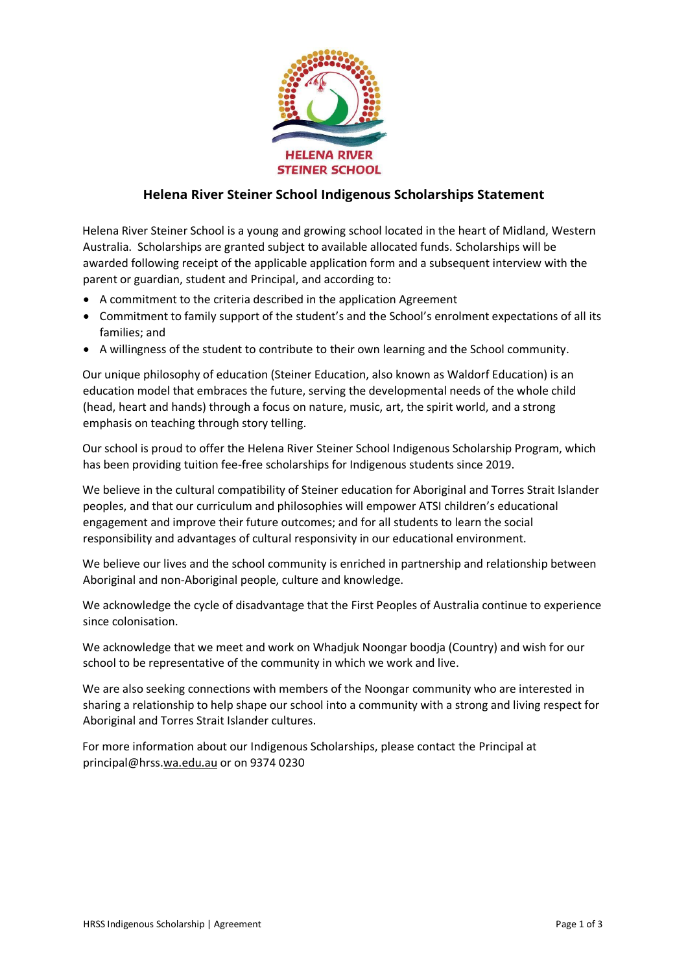

## **Helena River Steiner School Indigenous Scholarships Statement**

Helena River Steiner School is a young and growing school located in the heart of Midland, Western Australia. Scholarships are granted subject to available allocated funds. Scholarships will be awarded following receipt of the applicable application form and a subsequent interview with the parent or guardian, student and Principal, and according to:

- A commitment to the criteria described in the application Agreement
- Commitment to family support of the student's and the School's enrolment expectations of all its families; and
- A willingness of the student to contribute to their own learning and the School community.

Our unique philosophy of education (Steiner Education, also known as Waldorf Education) is an education model that embraces the future, serving the developmental needs of the whole child (head, heart and hands) through a focus on nature, music, art, the spirit world, and a strong emphasis on teaching through story telling.

Our school is proud to offer the Helena River Steiner School Indigenous Scholarship Program, which has been providing tuition fee-free scholarships for Indigenous students since 2019.

We believe in the cultural compatibility of Steiner education for Aboriginal and Torres Strait Islander peoples, and that our curriculum and philosophies will empower ATSI children's educational engagement and improve their future outcomes; and for all students to learn the social responsibility and advantages of cultural responsivity in our educational environment.

We believe our lives and the school community is enriched in partnership and relationship between Aboriginal and non-Aboriginal people, culture and knowledge.

We acknowledge the cycle of disadvantage that the First Peoples of Australia continue to experience since colonisation.

We acknowledge that we meet and work on Whadjuk Noongar boodja (Country) and wish for our school to be representative of the community in which we work and live.

We are also seeking connections with members of the Noongar community who are interested in sharing a relationship to help shape our school into a community with a strong and living respect for Aboriginal and Torres Strait Islander cultures.

For more information about our Indigenous Scholarships, please contact the Principal at principal@hrss.wa.edu.au or on 9374 0230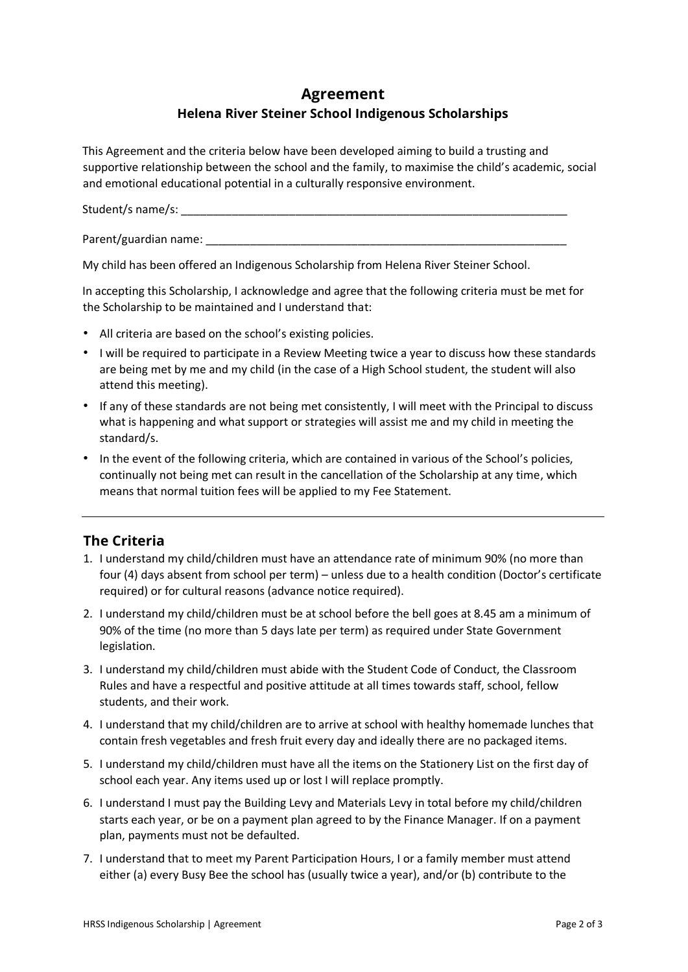## **Agreement Helena River Steiner School Indigenous Scholarships**

This Agreement and the criteria below have been developed aiming to build a trusting and supportive relationship between the school and the family, to maximise the child's academic, social and emotional educational potential in a culturally responsive environment.

Student/s name/s: \_\_\_\_\_\_\_\_\_\_\_\_\_\_\_\_\_\_\_\_\_\_\_\_\_\_\_\_\_\_\_\_\_\_\_\_\_\_\_\_\_\_\_\_\_\_\_\_\_\_\_\_\_\_\_\_\_\_\_\_\_

Parent/guardian name:

My child has been offered an Indigenous Scholarship from Helena River Steiner School.

In accepting this Scholarship, I acknowledge and agree that the following criteria must be met for the Scholarship to be maintained and I understand that:

- All criteria are based on the school's existing policies.
- I will be required to participate in a Review Meeting twice a year to discuss how these standards are being met by me and my child (in the case of a High School student, the student will also attend this meeting).
- If any of these standards are not being met consistently, I will meet with the Principal to discuss what is happening and what support or strategies will assist me and my child in meeting the standard/s.
- In the event of the following criteria, which are contained in various of the School's policies, continually not being met can result in the cancellation of the Scholarship at any time, which means that normal tuition fees will be applied to my Fee Statement.

## **The Criteria**

- 1. I understand my child/children must have an attendance rate of minimum 90% (no more than four (4) days absent from school per term) – unless due to a health condition (Doctor's certificate required) or for cultural reasons (advance notice required).
- 2. I understand my child/children must be at school before the bell goes at 8.45 am a minimum of 90% of the time (no more than 5 days late per term) as required under State Government legislation.
- 3. I understand my child/children must abide with the Student Code of Conduct, the Classroom Rules and have a respectful and positive attitude at all times towards staff, school, fellow students, and their work.
- 4. I understand that my child/children are to arrive at school with healthy homemade lunches that contain fresh vegetables and fresh fruit every day and ideally there are no packaged items.
- 5. I understand my child/children must have all the items on the Stationery List on the first day of school each year. Any items used up or lost I will replace promptly.
- 6. I understand I must pay the Building Levy and Materials Levy in total before my child/children starts each year, or be on a payment plan agreed to by the Finance Manager. If on a payment plan, payments must not be defaulted.
- 7. I understand that to meet my Parent Participation Hours, I or a family member must attend either (a) every Busy Bee the school has (usually twice a year), and/or (b) contribute to the